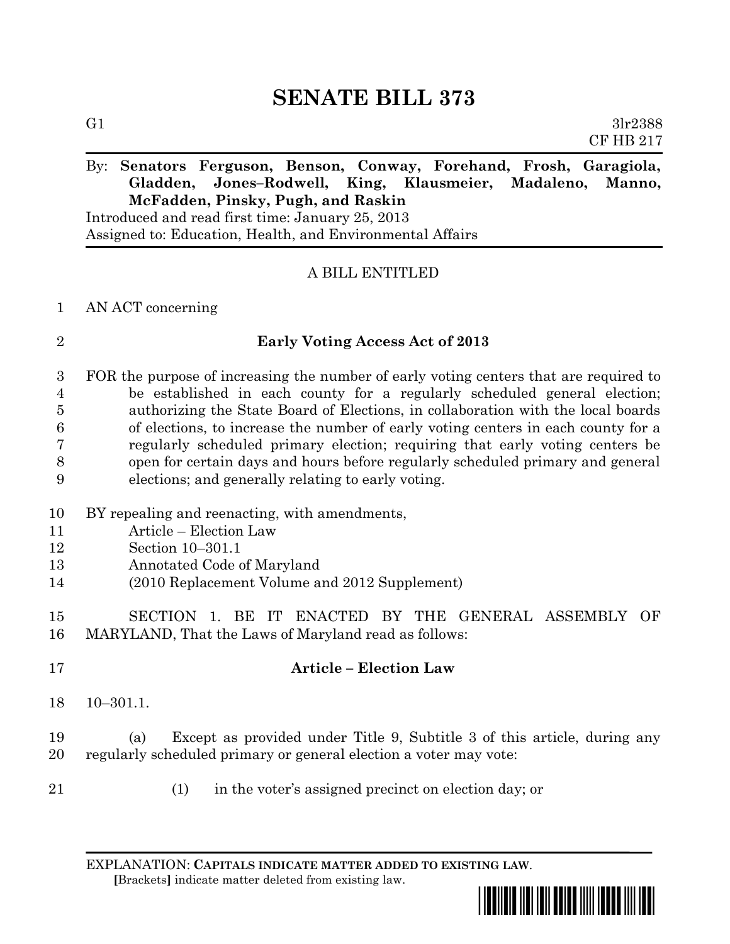# **SENATE BILL 373**

G1  $3\text{lr}2388$ CF HB 217

## By: **Senators Ferguson, Benson, Conway, Forehand, Frosh, Garagiola, Gladden, Jones–Rodwell, King, Klausmeier, Madaleno, Manno, McFadden, Pinsky, Pugh, and Raskin**

Introduced and read first time: January 25, 2013 Assigned to: Education, Health, and Environmental Affairs

### A BILL ENTITLED

### AN ACT concerning

### **Early Voting Access Act of 2013**

 FOR the purpose of increasing the number of early voting centers that are required to be established in each county for a regularly scheduled general election; authorizing the State Board of Elections, in collaboration with the local boards of elections, to increase the number of early voting centers in each county for a regularly scheduled primary election; requiring that early voting centers be open for certain days and hours before regularly scheduled primary and general elections; and generally relating to early voting.

- BY repealing and reenacting, with amendments,
- Article Election Law
- Section 10–301.1
- Annotated Code of Maryland
- (2010 Replacement Volume and 2012 Supplement)

 SECTION 1. BE IT ENACTED BY THE GENERAL ASSEMBLY OF MARYLAND, That the Laws of Maryland read as follows:

 **Article – Election Law** 10–301.1.

 (a) Except as provided under Title 9, Subtitle 3 of this article, during any regularly scheduled primary or general election a voter may vote:

- 
- (1) in the voter's assigned precinct on election day; or

EXPLANATION: **CAPITALS INDICATE MATTER ADDED TO EXISTING LAW**.  **[**Brackets**]** indicate matter deleted from existing law.

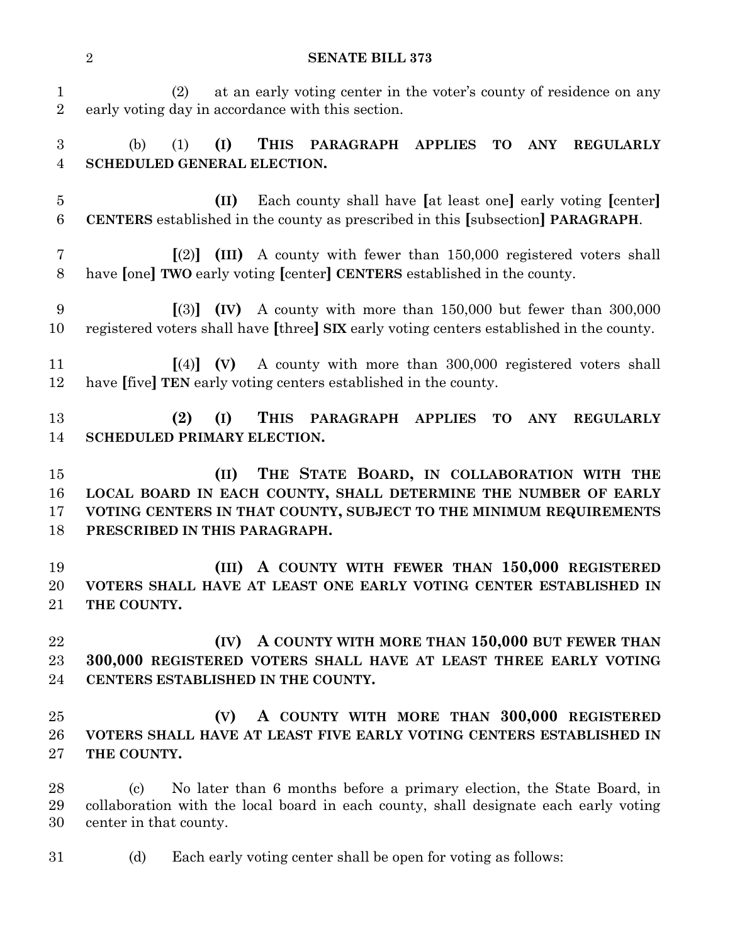**SENATE BILL 373** (2) at an early voting center in the voter's county of residence on any early voting day in accordance with this section. (b) (1) **(I) THIS PARAGRAPH APPLIES TO ANY REGULARLY SCHEDULED GENERAL ELECTION. (II)** Each county shall have **[**at least one**]** early voting **[**center**] CENTERS** established in the county as prescribed in this **[**subsection**] PARAGRAPH**. **[**(2)**] (III)** A county with fewer than 150,000 registered voters shall have **[**one**] TWO** early voting **[**center**] CENTERS** established in the county. **[**(3)**] (IV)** A county with more than 150,000 but fewer than 300,000 registered voters shall have **[**three**] SIX** early voting centers established in the county. **[**(4)**] (V)** A county with more than 300,000 registered voters shall have **[**five**] TEN** early voting centers established in the county. **(2) (I) THIS PARAGRAPH APPLIES TO ANY REGULARLY SCHEDULED PRIMARY ELECTION. (II) THE STATE BOARD, IN COLLABORATION WITH THE LOCAL BOARD IN EACH COUNTY, SHALL DETERMINE THE NUMBER OF EARLY VOTING CENTERS IN THAT COUNTY, SUBJECT TO THE MINIMUM REQUIREMENTS PRESCRIBED IN THIS PARAGRAPH. (III) A COUNTY WITH FEWER THAN 150,000 REGISTERED VOTERS SHALL HAVE AT LEAST ONE EARLY VOTING CENTER ESTABLISHED IN THE COUNTY. (IV) A COUNTY WITH MORE THAN 150,000 BUT FEWER THAN 300,000 REGISTERED VOTERS SHALL HAVE AT LEAST THREE EARLY VOTING CENTERS ESTABLISHED IN THE COUNTY. (V) A COUNTY WITH MORE THAN 300,000 REGISTERED VOTERS SHALL HAVE AT LEAST FIVE EARLY VOTING CENTERS ESTABLISHED IN THE COUNTY.** (c) No later than 6 months before a primary election, the State Board, in collaboration with the local board in each county, shall designate each early voting center in that county. (d) Each early voting center shall be open for voting as follows: